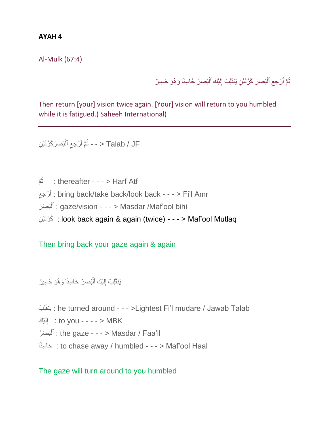## **AYAH 4**

Al-Mulk (67:4)

ثُمَّ ٱرْجِعِ ٱلْبَصَرَ كَرَّتَيْنِ يَنقَلِبُ إِلَيْكَ ٱلْبَصَرُ خَاسِئًا وَ هُوَ حَسِيرٌ ِ ْ لَ ْ

Then return [your] vision twice again. [Your] vision will return to you humbled while it is fatigued.( Saheeh International)

ل / Talab / JF < - - ثُمَّ ٱرْجِعِ ٱلْبَصَرَكَرَّتَيْ*نِ*  $\zeta$ ْ

م<br>نُم ُث : thereafter - - - > Harf Atf ِ جعِ رْ ٱ : bring back/take back/look back - - - >َّFi'lَّAmr : آلنَصَرَ : gaze/vision - - - > Masdar /Maf'ool bihi ْ ا كَرَّتَيْنِ : look back again & again (twice) - - - > Maf'ool Mutlaq

## Then bring back your gaze again & again

يَنقَلِبُ إِلَيْكَ ٱلْبَصَرُ خَاسِئًا وَ هُوَ حَسِيرٌ لَ ْ

ِل ْب َنقَي : he turned around - - - >LightestَّFi'lَّmudareَّ/َّJawabَّTalab to you - - - - > MBK : إِلَيْكَ لَ  $\frac{1}{2}$ بَ َص ُر ٱل : the gaze - - - > Masdar / Faa'il ْ اًسئِ خاَ : to chase away / humbled - - - > Maf'oolَّHaal

## The gaze will turn around to you humbled